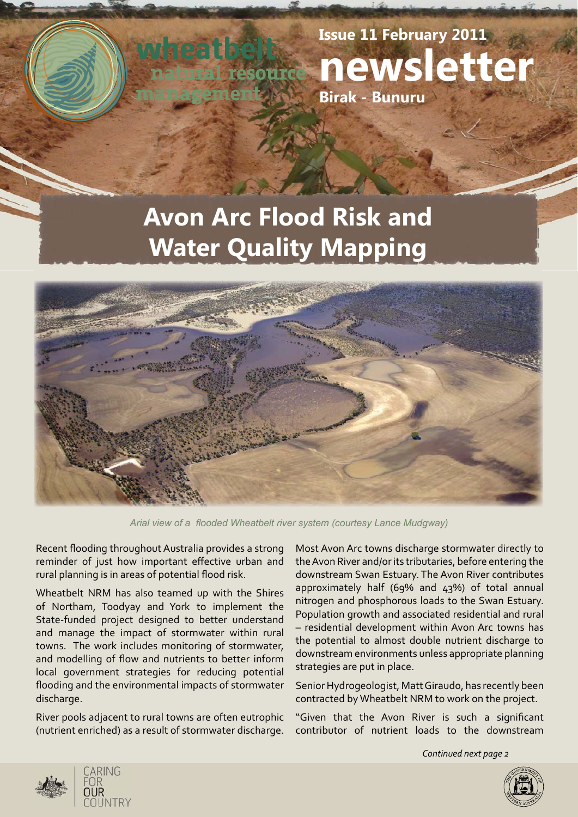**Issue 11 February 2011 newsletter** source **Birak - Bunuru**

# **Avon Arc Flood Risk and Water Quality Mapping**



Arial view of a flooded Wheatbelt river system (courtesy Lance Mudgway)

Recent flooding throughout Australia provides a strong reminder of just how important effective urban and rural planning is in areas of potential flood risk.

Wheatbelt NRM has also teamed up with the Shires of Northam, Toodyay and York to implement the State-funded project designed to better understand and manage the impact of stormwater within rural towns. The work includes monitoring of stormwater, and modelling of flow and nutrients to better inform local government strategies for reducing potential flooding and the environmental impacts of stormwater discharge.

River pools adjacent to rural towns are often eutrophic (nutrient enriched) as a result of stormwater discharge. Most Avon Arc towns discharge stormwater directly to the Avon River and/or its tributaries, before entering the downstream Swan Estuary. The Avon River contributes approximately half (69% and 43%) of total annual nitrogen and phosphorous loads to the Swan Estuary. Population growth and associated residential and rural – residential development within Avon Arc towns has the potential to almost double nutrient discharge to downstream environments unless appropriate planning strategies are put in place.

Senior Hydrogeologist, Matt Giraudo, has recently been contracted by Wheatbelt NRM to work on the project.

"Given that the Avon River is such a significant contributor of nutrient loads to the downstream

*Continued next page 2*



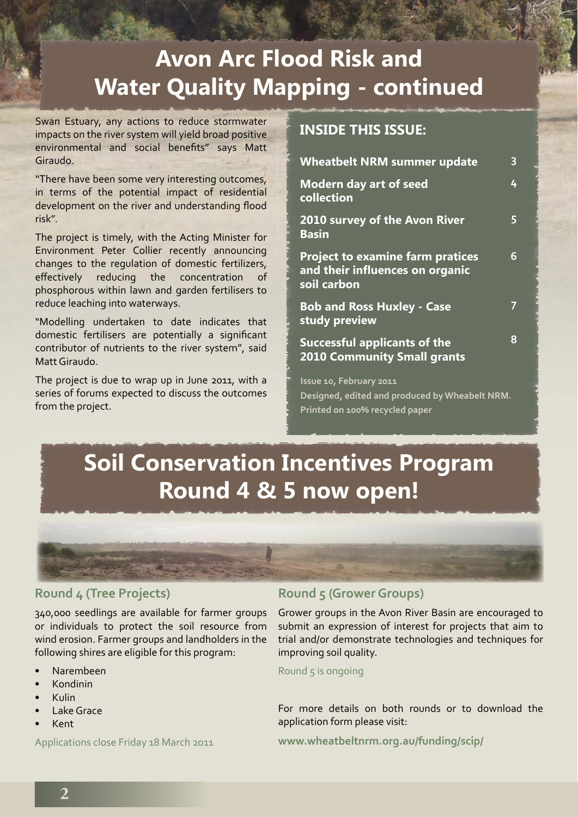# **Avon Arc Flood Risk and Water Quality Mapping - continued**

Swan Estuary, any actions to reduce stormwater impacts on the river system will yield broad positive environmental and social benefits" says Matt Giraudo.

"There have been some very interesting outcomes, in terms of the potential impact of residential development on the river and understanding flood risk".

The project is timely, with the Acting Minister for Environment Peter Collier recently announcing changes to the regulation of domestic fertilizers, effectively reducing the concentration of phosphorous within lawn and garden fertilisers to reduce leaching into waterways.

"Modelling undertaken to date indicates that domestic fertilisers are potentially a significant contributor of nutrients to the river system", said Matt Giraudo.

The project is due to wrap up in June 2011, with a series of forums expected to discuss the outcomes from the project.

## **INSIDE THIS ISSUE:**

| <b>Wheatbelt NRM summer update</b>                                                                          | 3 |
|-------------------------------------------------------------------------------------------------------------|---|
| <b>Modern day art of seed</b><br>collection                                                                 | 4 |
| 2010 survey of the Avon River<br><b>Basin</b>                                                               | 5 |
| <b>Project to examine farm pratices</b><br>and their influences on organic<br>soil carbon                   | 6 |
| <b>Bob and Ross Huxley - Case</b><br>study preview                                                          | 7 |
| <b>Successful applicants of the</b><br><b>2010 Community Small grants</b>                                   | 8 |
| Issue 10, February 2011<br>Designed, edited and produced by Wheabelt NRM.<br>Printed on 100% recycled paper |   |

# **Soil Conservation Incentives Program Round 4 & 5 now open!**



### **Round 4 (Tree Projects)**

340,000 seedlings are available for farmer groups or individuals to protect the soil resource from wind erosion. Farmer groups and landholders in the following shires are eligible for this program:

- Narembeen
- Kondinin
- Kulin
- Lake Grace
- Kent

Applications close Friday 18 March 2011

### **Round 5 (Grower Groups)**

Grower groups in the Avon River Basin are encouraged to submit an expression of interest for projects that aim to trial and/or demonstrate technologies and techniques for improving soil quality.

Round  $5$  is ongoing

For more details on both rounds or to download the application form please visit:

**www.wheatbeltnrm.org.au/funding/scip/**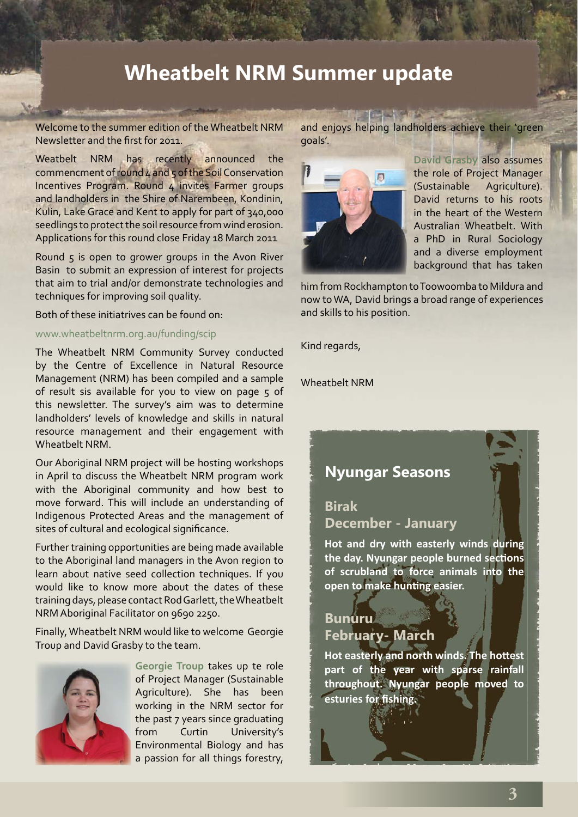## **Wheatbelt NRM Summer update**

Welcome to the summer edition of the Wheatbelt NRM Newsletter and the first for 2011.

Weatbelt NRM has recently announced the commencment of round 4 and 5 of the Soil Conservation Incentives Program. Round 4 invites Farmer groups and landholders in the Shire of Narembeen, Kondinin, Kulin, Lake Grace and Kent to apply for part of 340,000 seedlings to protect the soil resource from wind erosion. Applications for this round close Friday 18 March 2011

Round 5 is open to grower groups in the Avon River Basin to submit an expression of interest for projects that aim to trial and/or demonstrate technologies and techniques for improving soil quality.

Both of these initiatrives can be found on:

www.wheatbeltnrm.org.au/funding/scip

The Wheatbelt NRM Community Survey conducted by the Centre of Excellence in Natural Resource Management (NRM) has been compiled and a sample of result sis available for you to view on page 5 of this newsletter. The survey's aim was to determine landholders' levels of knowledge and skills in natural resource management and their engagement with Wheatbelt NRM.

Our Aboriginal NRM project will be hosting workshops in April to discuss the Wheatbelt NRM program work with the Aboriginal community and how best to move forward. This will include an understanding of Indigenous Protected Areas and the management of sites of cultural and ecological significance.

Further training opportunities are being made available to the Aboriginal land managers in the Avon region to learn about native seed collection techniques. If you would like to know more about the dates of these training days, please contact Rod Garlett, the Wheatbelt NRM Aboriginal Facilitator on 9690 2250.

Finally, Wheatbelt NRM would like to welcome Georgie Troup and David Grasby to the team.



**Georgie Troup** takes up te role of Project Manager (Sustainable Agriculture). She has been working in the NRM sector for the past 7 years since graduating from Curtin University's Environmental Biology and has a passion for all things forestry,

 $\frac{1}{\left( 1-\left( \frac{1}{\left( 1-\frac{1}{\left( 1-\frac{1}{\left( 1-\frac{1}{\left( 1-\frac{1}{\left( 1-\frac{1}{\left( 1-\frac{1}{\left( 1-\frac{1}{\left( 1-\frac{1}{\left( 1-\frac{1}{\left( 1-\frac{1}{\left( 1-\frac{1}{\left( 1-\frac{1}{\left( 1-\frac{1}{\left( 1-\frac{1}{\left( 1-\frac{1}{\left( 1-\frac{1}{\left( 1-\frac{1}{\left( 1-\frac{1}{\left( 1-\frac{1}{\left( 1-\frac{1}{\left$ and enjoys helping landholders achieve their 'green goals'.



**David Grasby** also assumes the role of Project Manager (Sustainable Agriculture). David returns to his roots in the heart of the Western Australian Wheatbelt. With a PhD in Rural Sociology and a diverse employment background that has taken

him from Rockhampton to Toowoomba to Mildura and now to WA, David brings a broad range of experiences and skills to his position.

Kind regards,

Wheatbelt NRM

## **Nyungar Seasons**

### **Birak December - January**

**Hot and dry with easterly winds during**  the day. Nyungar people burned sections **of scrubland to force animals into the open to make hunting easier.** 

## **Bunuru February- March**

**Hot easterly and north winds. The hottest part of the year with sparse rainfall throughout. Nyungar people moved to esturies for fishing.**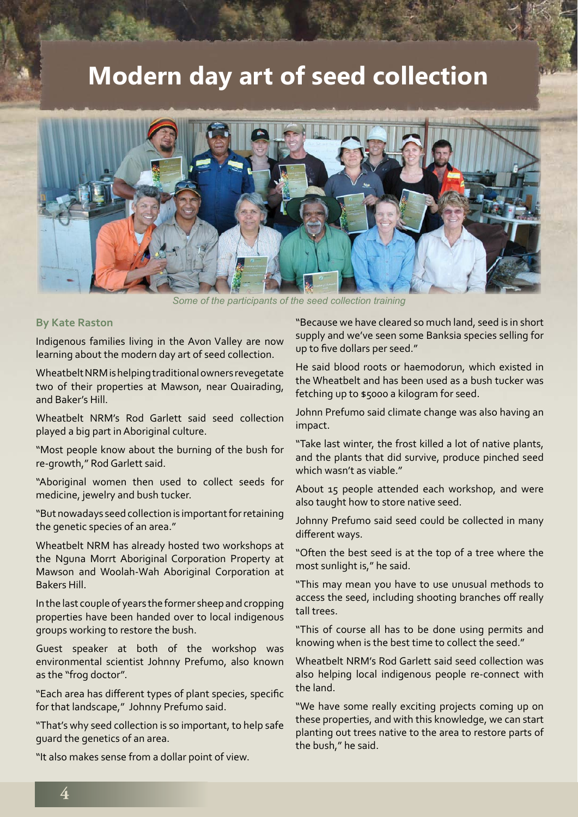## **Modern day art of seed collection**



*Some of the participants of the seed collection training*

#### **By Kate Raston**

Indigenous families living in the Avon Valley are now learning about the modern day art of seed collection.

Wheatbelt NRM is helping traditional owners revegetate two of their properties at Mawson, near Quairading, and Baker's Hill.

Wheatbelt NRM's Rod Garlett said seed collection played a big part in Aboriginal culture.

"Most people know about the burning of the bush for re-growth," Rod Garlett said.

"Aboriginal women then used to collect seeds for medicine, jewelry and bush tucker.

"But nowadays seed collection is important for retaining the genetic species of an area."

Wheatbelt NRM has already hosted two workshops at the Nguna Morrt Aboriginal Corporation Property at Mawson and Woolah-Wah Aboriginal Corporation at Bakers Hill.

In the last couple of years the former sheep and cropping properties have been handed over to local indigenous groups working to restore the bush.

Guest speaker at both of the workshop was environmental scientist Johnny Prefumo, also known as the "frog doctor".

"Each area has different types of plant species, specific for that landscape," Johnny Prefumo said.

"That's why seed collection is so important, to help safe guard the genetics of an area.

"It also makes sense from a dollar point of view.

"Because we have cleared so much land, seed is in short supply and we've seen some Banksia species selling for up to five dollars per seed."

He said blood roots or haemodorun, which existed in the Wheatbelt and has been used as a bush tucker was fetching up to \$5000 a kilogram for seed.

Johnn Prefumo said climate change was also having an impact.

"Take last winter, the frost killed a lot of native plants, and the plants that did survive, produce pinched seed which wasn't as viable."

About 15 people attended each workshop, and were also taught how to store native seed.

Johnny Prefumo said seed could be collected in many different ways.

"Often the best seed is at the top of a tree where the most sunlight is," he said.

"This may mean you have to use unusual methods to access the seed, including shooting branches off really tall trees.

"This of course all has to be done using permits and knowing when is the best time to collect the seed."

Wheatbelt NRM's Rod Garlett said seed collection was also helping local indigenous people re-connect with the land.

"We have some really exciting projects coming up on these properties, and with this knowledge, we can start planting out trees native to the area to restore parts of the bush," he said.

**4**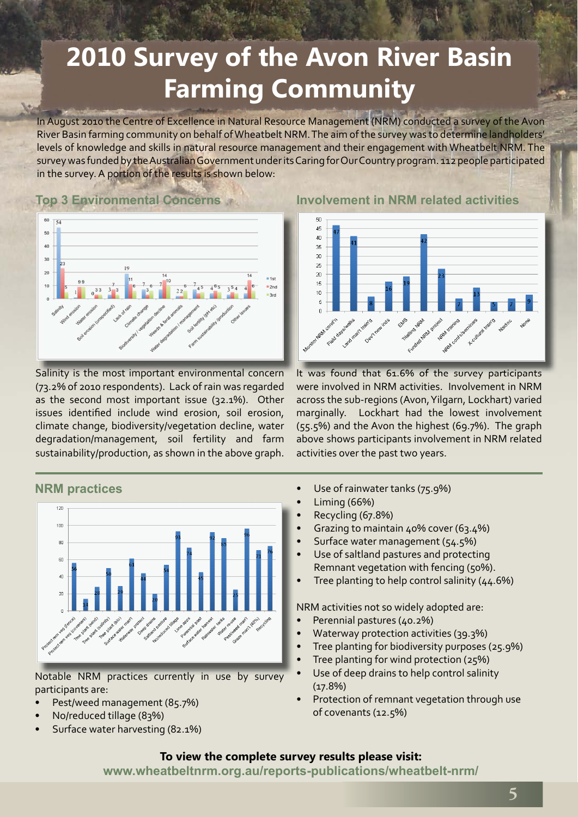# **2010 Survey of the Avon River Basin Farming Community**

In August 2010 the Centre of Excellence in Natural Resource Management (NRM) conducted a survey of the Avon River Basin farming community on behalf of Wheatbelt NRM. The aim of the survey was to determine landholders' levels of knowledge and skills in natural resource management and their engagement with Wheatbelt NRM. The survey was funded by the Australian Government under its Caring for Our Country program. 112 people participated in the survey. A portion of the results is shown below:

## **Top 3 Environmental Concerns**



Salinity is the most important environmental concern (73.2% of 2010 respondents). Lack of rain was regarded as the second most important issue (32.1%). Other issues identified include wind erosion, soil erosion, climate change, biodiversity/vegetation decline, water degradation/management, soil fertility and farm sustainability/production, as shown in the above graph.



Notable NRM practices currently in use by survey participants are:

- Pest/weed management (85.7%)
- No/reduced tillage (83%)
- Surface water harvesting (82.1%)

**Involvement in NRM related activities**



It was found that 61.6% of the survey participants were involved in NRM activities. Involvement in NRM across the sub-regions (Avon, Yilgarn, Lockhart) varied marginally. Lockhart had the lowest involvement (55.5%) and the Avon the highest (69.7%). The graph above shows participants involvement in NRM related activities over the past two years.

- Use of rainwater tanks (75.9%)
- Liming (66%)
- Recycling (67.8%)
- Grazing to maintain 40% cover (63.4%)
- Surface water management (54.5%)
- Use of saltland pastures and protecting Remnant vegetation with fencing (50%).
- Tree planting to help control salinity  $(44.6%)$

NRM activities not so widely adopted are:

- Perennial pastures (40.2%)
- Waterway protection activities (39.3%)
- Tree planting for biodiversity purposes (25.9%)
- Tree planting for wind protection (25%)
- Use of deep drains to help control salinity  $(17.8%)$
- Protection of remnant vegetation through use of covenants (12.5%)

### **To view the complete survey results please visit:**

**www.wheatbeltnrm.org.au/reports-publications/wheatbelt-nrm/**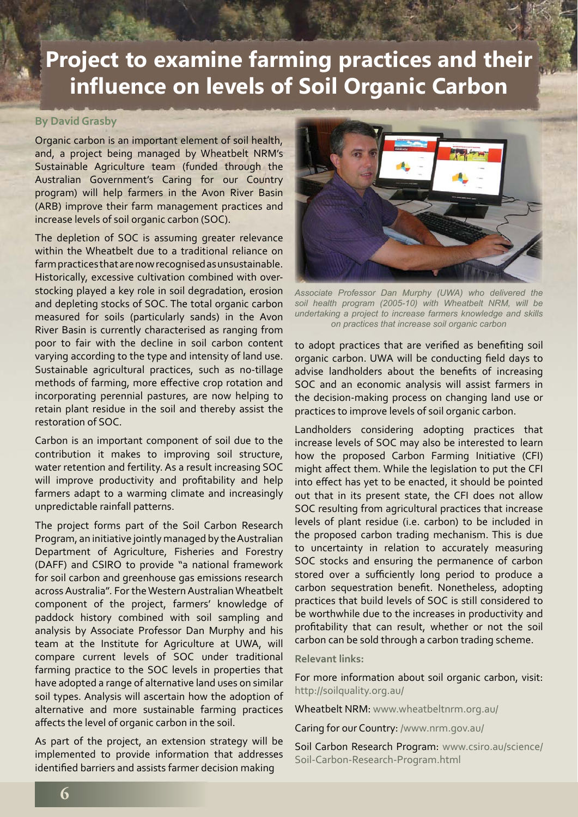## **Project to examine farming practices and their infl uence on levels of Soil Organic Carbon**

#### **By David Grasby**

Organic carbon is an important element of soil health, and, a project being managed by Wheatbelt NRM's Sustainable Agriculture team (funded through the Australian Government's Caring for our Country program) will help farmers in the Avon River Basin (ARB) improve their farm management practices and increase levels of soil organic carbon (SOC).

The depletion of SOC is assuming greater relevance within the Wheatbelt due to a traditional reliance on farm practices that are now recognised as unsustainable. Historically, excessive cultivation combined with overstocking played a key role in soil degradation, erosion and depleting stocks of SOC. The total organic carbon measured for soils (particularly sands) in the Avon River Basin is currently characterised as ranging from poor to fair with the decline in soil carbon content varying according to the type and intensity of land use. Sustainable agricultural practices, such as no-tillage methods of farming, more effective crop rotation and incorporating perennial pastures, are now helping to retain plant residue in the soil and thereby assist the restoration of SOC.

Carbon is an important component of soil due to the contribution it makes to improving soil structure, water retention and fertility. As a result increasing SOC will improve productivity and profitability and help farmers adapt to a warming climate and increasingly unpredictable rainfall patterns.

The project forms part of the Soil Carbon Research Program, an initiative jointly managed by the Australian Department of Agriculture, Fisheries and Forestry (DAFF) and CSIRO to provide "a national framework for soil carbon and greenhouse gas emissions research across Australia". For the Western Australian Wheatbelt component of the project, farmers' knowledge of paddock history combined with soil sampling and analysis by Associate Professor Dan Murphy and his team at the Institute for Agriculture at UWA, will compare current levels of SOC under traditional farming practice to the SOC levels in properties that have adopted a range of alternative land uses on similar soil types. Analysis will ascertain how the adoption of alternative and more sustainable farming practices affects the level of organic carbon in the soil.

As part of the project, an extension strategy will be implemented to provide information that addresses identified barriers and assists farmer decision making



*Associate Professor Dan Murphy (UWA) who delivered the soil health program (2005-10) with Wheatbelt NRM, will be undertaking a project to increase farmers knowledge and skills on practices that increase soil organic carbon* 

to adopt practices that are verified as benefiting soil organic carbon. UWA will be conducting field days to advise landholders about the benefits of increasing SOC and an economic analysis will assist farmers in the decision-making process on changing land use or practices to improve levels of soil organic carbon.

Landholders considering adopting practices that increase levels of SOC may also be interested to learn how the proposed Carbon Farming Initiative (CFI) might affect them. While the legislation to put the CFI into effect has yet to be enacted, it should be pointed out that in its present state, the CFI does not allow SOC resulting from agricultural practices that increase levels of plant residue (i.e. carbon) to be included in the proposed carbon trading mechanism. This is due to uncertainty in relation to accurately measuring SOC stocks and ensuring the permanence of carbon stored over a sufficiently long period to produce a carbon sequestration benefit. Nonetheless, adopting practices that build levels of SOC is still considered to be worthwhile due to the increases in productivity and profitability that can result, whether or not the soil carbon can be sold through a carbon trading scheme.

#### **Relevant links:**

For more information about soil organic carbon, visit: http://soilquality.org.au/

Wheatbelt NRM: www.wheatbeltnrm.org.au/

Caring for our Country: /www.nrm.gov.au/

Soil Carbon Research Program: www.csiro.au/science/ Soil-Carbon-Research-Program.html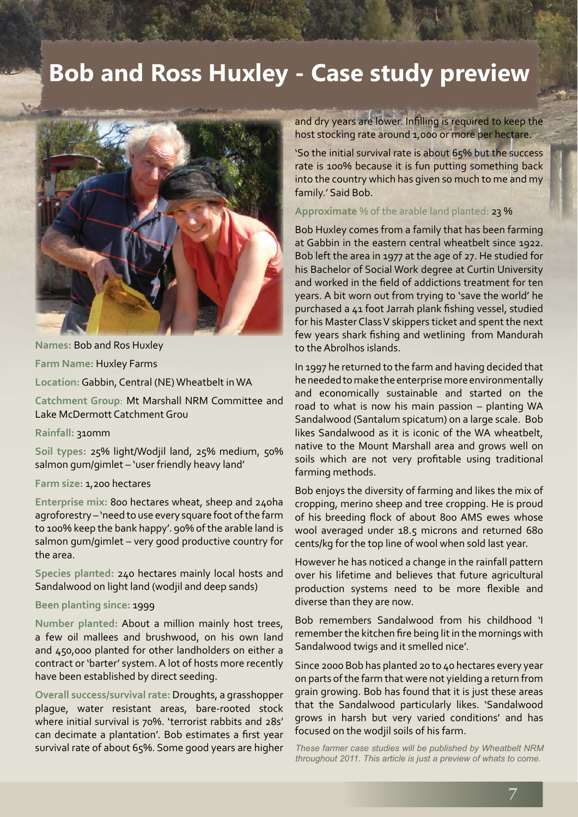# **Bob and Ross Huxley - Case study preview**



**Names:** Bob and Ros Huxley

**Farm Name:** Huxley Farms

**Location:**Gabbin, Central (NE) Wheatbelt in WA

**Catchment Group**: Mt Marshall NRM Committee and Lake McDermott Catchment Grou

**Rainfall:** 310mm

**Soil types:** 25% light/Wodjil land, 25% medium, 50% salmon gum/gimlet – 'user friendly heavy land'

#### **Farm size:** 1,200 hectares

**Enterprise mix:** 800 hectares wheat, sheep and 240ha agroforestry – 'need to use every square foot of the farm to 100% keep the bank happy'. 90% of the arable land is salmon gum/gimlet – very good productive country for the area.

**Species planted:** 240 hectares mainly local hosts and Sandalwood on light land (wodjil and deep sands)

#### **Been planting since:** 1999

**Number planted:** About a million mainly host trees, a few oil mallees and brushwood, on his own land and 450,000 planted for other landholders on either a contract or 'barter' system. A lot of hosts more recently have been established by direct seeding.

**Overall success/survival rate:** Droughts, a grasshopper plague, water resistant areas, bare-rooted stock where initial survival is 70%. 'terrorist rabbits and 28s' can decimate a plantation'. Bob estimates a first year survival rate of about 65%. Some good years are higher and dry years are lower. Infilling is required to keep the host stocking rate around 1,000 or more per hectare.

'So the initial survival rate is about 65% but the success rate is 100% because it is fun putting something back into the country which has given so much to me and my family.' Said Bob.

**Approximate** % of the arable land planted: 23 %

Bob Huxley comes from a family that has been farming at Gabbin in the eastern central wheatbelt since 1922. Bob left the area in 1977 at the age of 27. He studied for his Bachelor of Social Work degree at Curtin University and worked in the field of addictions treatment for ten years. A bit worn out from trying to 'save the world' he purchased a 41 foot Jarrah plank fishing vessel, studied for his Master Class V skippers ticket and spent the next few years shark fishing and wetlining from Mandurah to the Abrolhos islands.

In 1997 he returned to the farm and having decided that he needed to make the enterprise more environmentally and economically sustainable and started on the road to what is now his main passion – planting WA Sandalwood (Santalum spicatum) on a large scale. Bob likes Sandalwood as it is iconic of the WA wheatbelt, native to the Mount Marshall area and grows well on soils which are not very profitable using traditional farming methods.

Bob enjoys the diversity of farming and likes the mix of cropping, merino sheep and tree cropping. He is proud of his breeding flock of about 800 AMS ewes whose wool averaged under 18.5 microns and returned 680 cents/kg for the top line of wool when sold last year.

However he has noticed a change in the rainfall pattern over his lifetime and believes that future agricultural production systems need to be more flexible and diverse than they are now.

Bob remembers Sandalwood from his childhood 'I remember the kitchen fire being lit in the mornings with Sandalwood twigs and it smelled nice'.

Since 2000 Bob has planted 20 to 40 hectares every year on parts of the farm that were not yielding a return from grain growing. Bob has found that it is just these areas that the Sandalwood particularly likes. 'Sandalwood grows in harsh but very varied conditions' and has focused on the wodjil soils of his farm.

*These farmer case studies will be published by Wheatbelt NRM throughout 2011. This article is just a preview of whats to come.* 

**7**